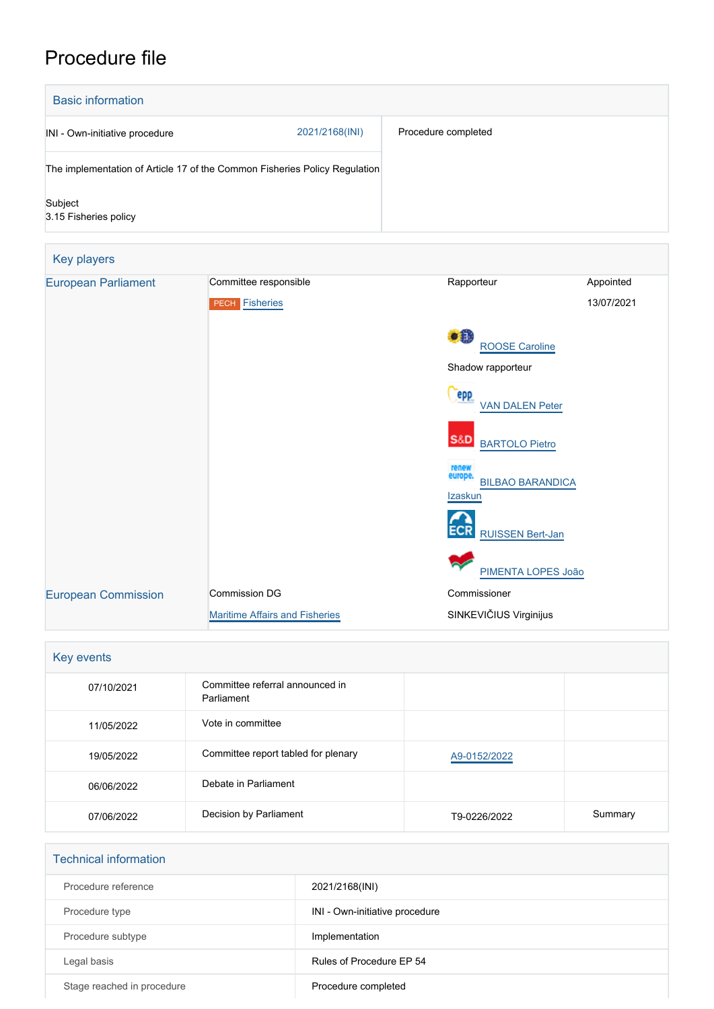# Procedure file

| <b>Basic information</b>         |                                                                            |                     |            |  |
|----------------------------------|----------------------------------------------------------------------------|---------------------|------------|--|
| INI - Own-initiative procedure   | 2021/2168(INI)                                                             | Procedure completed |            |  |
|                                  | The implementation of Article 17 of the Common Fisheries Policy Regulation |                     |            |  |
| Subject<br>3.15 Fisheries policy |                                                                            |                     |            |  |
| Key players                      |                                                                            |                     |            |  |
| <b>European Parliament</b>       | Committee responsible                                                      | Rapporteur          | Appointed  |  |
|                                  | Fisheries<br><b>PECH</b>                                                   |                     | 13/07/2021 |  |

|                            | <b>PECH</b> Fisheries                 |                                                        | 13/07/2021 |
|----------------------------|---------------------------------------|--------------------------------------------------------|------------|
|                            |                                       | •8<br><b>ROOSE Caroline</b>                            |            |
|                            |                                       | Shadow rapporteur                                      |            |
|                            |                                       | epp<br><b>VAN DALEN Peter</b>                          |            |
|                            |                                       | <b>S&amp;D</b><br><b>BARTOLO Pietro</b>                |            |
|                            |                                       | renew<br>europe.<br><b>BILBAO BARANDICA</b><br>Izaskun |            |
|                            |                                       | <b>ECR</b><br><b>RUISSEN Bert-Jan</b>                  |            |
|                            |                                       | PIMENTA LOPES João                                     |            |
| <b>European Commission</b> | Commission DG                         | Commissioner                                           |            |
|                            | <b>Maritime Affairs and Fisheries</b> | SINKEVIČIUS Virginijus                                 |            |

| Key events |                                               |              |         |
|------------|-----------------------------------------------|--------------|---------|
| 07/10/2021 | Committee referral announced in<br>Parliament |              |         |
| 11/05/2022 | Vote in committee                             |              |         |
| 19/05/2022 | Committee report tabled for plenary           | A9-0152/2022 |         |
| 06/06/2022 | Debate in Parliament                          |              |         |
| 07/06/2022 | Decision by Parliament                        | T9-0226/2022 | Summary |

| <b>Technical information</b> |                                |
|------------------------------|--------------------------------|
| Procedure reference          | 2021/2168(INI)                 |
| Procedure type               | INI - Own-initiative procedure |
| Procedure subtype            | Implementation                 |
| Legal basis                  | Rules of Procedure EP 54       |
| Stage reached in procedure   | Procedure completed            |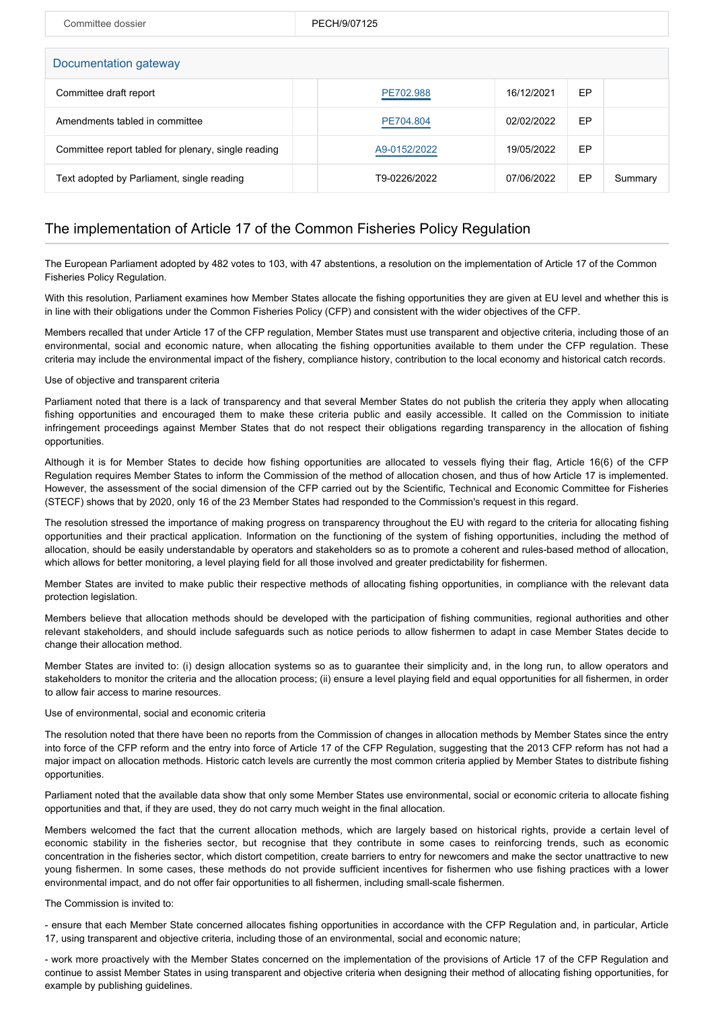| Committee dossier                                   | PECH/9/07125 |            |    |         |  |
|-----------------------------------------------------|--------------|------------|----|---------|--|
| Documentation gateway                               |              |            |    |         |  |
| Committee draft report                              | PE702.988    | 16/12/2021 | EP |         |  |
| Amendments tabled in committee                      | PE704.804    | 02/02/2022 | EP |         |  |
| Committee report tabled for plenary, single reading | A9-0152/2022 | 19/05/2022 | EP |         |  |
| Text adopted by Parliament, single reading          | T9-0226/2022 | 07/06/2022 | EP | Summary |  |

## The implementation of Article 17 of the Common Fisheries Policy Regulation

The European Parliament adopted by 482 votes to 103, with 47 abstentions, a resolution on the implementation of Article 17 of the Common Fisheries Policy Regulation.

With this resolution, Parliament examines how Member States allocate the fishing opportunities they are given at EU level and whether this is in line with their obligations under the Common Fisheries Policy (CFP) and consistent with the wider objectives of the CFP.

Members recalled that under Article 17 of the CFP regulation, Member States must use transparent and objective criteria, including those of an environmental, social and economic nature, when allocating the fishing opportunities available to them under the CFP regulation. These criteria may include the environmental impact of the fishery, compliance history, contribution to the local economy and historical catch records.

#### Use of objective and transparent criteria

Parliament noted that there is a lack of transparency and that several Member States do not publish the criteria they apply when allocating fishing opportunities and encouraged them to make these criteria public and easily accessible. It called on the Commission to initiate infringement proceedings against Member States that do not respect their obligations regarding transparency in the allocation of fishing opportunities.

Although it is for Member States to decide how fishing opportunities are allocated to vessels flying their flag, Article 16(6) of the CFP Regulation requires Member States to inform the Commission of the method of allocation chosen, and thus of how Article 17 is implemented. However, the assessment of the social dimension of the CFP carried out by the Scientific, Technical and Economic Committee for Fisheries (STECF) shows that by 2020, only 16 of the 23 Member States had responded to the Commission's request in this regard.

The resolution stressed the importance of making progress on transparency throughout the EU with regard to the criteria for allocating fishing opportunities and their practical application. Information on the functioning of the system of fishing opportunities, including the method of allocation, should be easily understandable by operators and stakeholders so as to promote a coherent and rules-based method of allocation, which allows for better monitoring, a level playing field for all those involved and greater predictability for fishermen.

Member States are invited to make public their respective methods of allocating fishing opportunities, in compliance with the relevant data protection legislation.

Members believe that allocation methods should be developed with the participation of fishing communities, regional authorities and other relevant stakeholders, and should include safeguards such as notice periods to allow fishermen to adapt in case Member States decide to change their allocation method.

Member States are invited to: (i) design allocation systems so as to guarantee their simplicity and, in the long run, to allow operators and stakeholders to monitor the criteria and the allocation process; (ii) ensure a level playing field and equal opportunities for all fishermen, in order to allow fair access to marine resources.

### Use of environmental, social and economic criteria

The resolution noted that there have been no reports from the Commission of changes in allocation methods by Member States since the entry into force of the CFP reform and the entry into force of Article 17 of the CFP Regulation, suggesting that the 2013 CFP reform has not had a major impact on allocation methods. Historic catch levels are currently the most common criteria applied by Member States to distribute fishing opportunities.

Parliament noted that the available data show that only some Member States use environmental, social or economic criteria to allocate fishing opportunities and that, if they are used, they do not carry much weight in the final allocation.

Members welcomed the fact that the current allocation methods, which are largely based on historical rights, provide a certain level of economic stability in the fisheries sector, but recognise that they contribute in some cases to reinforcing trends, such as economic concentration in the fisheries sector, which distort competition, create barriers to entry for newcomers and make the sector unattractive to new young fishermen. In some cases, these methods do not provide sufficient incentives for fishermen who use fishing practices with a lower environmental impact, and do not offer fair opportunities to all fishermen, including small-scale fishermen.

#### The Commission is invited to:

- ensure that each Member State concerned allocates fishing opportunities in accordance with the CFP Regulation and, in particular, Article 17, using transparent and objective criteria, including those of an environmental, social and economic nature;

- work more proactively with the Member States concerned on the implementation of the provisions of Article 17 of the CFP Regulation and continue to assist Member States in using transparent and objective criteria when designing their method of allocating fishing opportunities, for example by publishing guidelines.